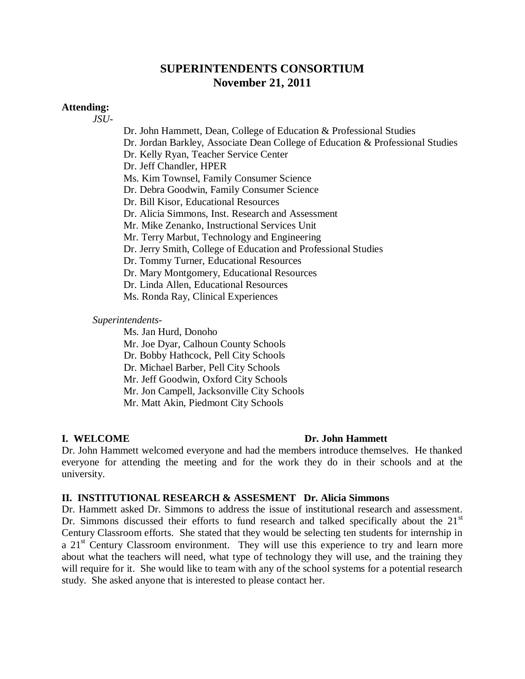### **SUPERINTENDENTS CONSORTIUM November 21, 2011**

### **Attending:**

*JSU-*

Dr. John Hammett, Dean, College of Education & Professional Studies Dr. Jordan Barkley, Associate Dean College of Education & Professional Studies Dr. Kelly Ryan, Teacher Service Center Dr. Jeff Chandler, HPER Ms. Kim Townsel, Family Consumer Science Dr. Debra Goodwin, Family Consumer Science Dr. Bill Kisor, Educational Resources Dr. Alicia Simmons, Inst. Research and Assessment Mr. Mike Zenanko, Instructional Services Unit Mr. Terry Marbut, Technology and Engineering Dr. Jerry Smith, College of Education and Professional Studies Dr. Tommy Turner, Educational Resources Dr. Mary Montgomery, Educational Resources Dr. Linda Allen, Educational Resources Ms. Ronda Ray, Clinical Experiences

*Superintendents-*

Ms. Jan Hurd, Donoho Mr. Joe Dyar, Calhoun County Schools Dr. Bobby Hathcock, Pell City Schools Dr. Michael Barber, Pell City Schools Mr. Jeff Goodwin, Oxford City Schools Mr. Jon Campell, Jacksonville City Schools Mr. Matt Akin, Piedmont City Schools

### **I. WELCOME Dr. John Hammett**

Dr. John Hammett welcomed everyone and had the members introduce themselves. He thanked everyone for attending the meeting and for the work they do in their schools and at the university.

### **II. INSTITUTIONAL RESEARCH & ASSESMENT Dr. Alicia Simmons**

Dr. Hammett asked Dr. Simmons to address the issue of institutional research and assessment. Dr. Simmons discussed their efforts to fund research and talked specifically about the  $21<sup>st</sup>$ Century Classroom efforts. She stated that they would be selecting ten students for internship in a  $21<sup>st</sup>$  Century Classroom environment. They will use this experience to try and learn more about what the teachers will need, what type of technology they will use, and the training they will require for it. She would like to team with any of the school systems for a potential research study. She asked anyone that is interested to please contact her.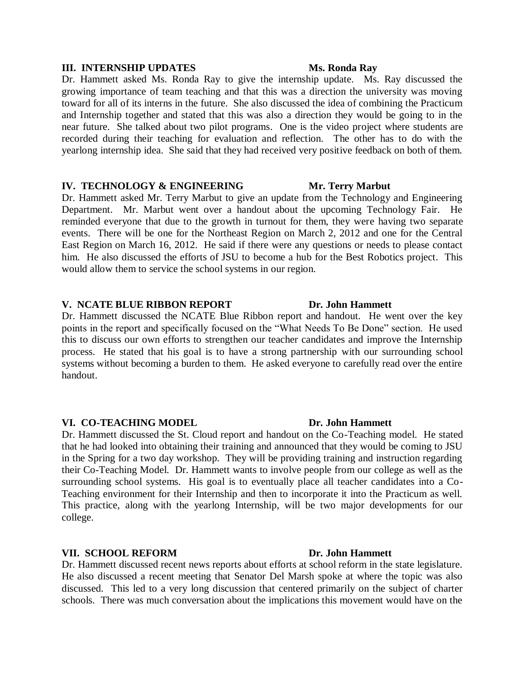### **III. INTERNSHIP UPDATES Ms. Ronda Ray**

Dr. Hammett asked Ms. Ronda Ray to give the internship update. Ms. Ray discussed the growing importance of team teaching and that this was a direction the university was moving toward for all of its interns in the future. She also discussed the idea of combining the Practicum and Internship together and stated that this was also a direction they would be going to in the near future. She talked about two pilot programs. One is the video project where students are recorded during their teaching for evaluation and reflection. The other has to do with the yearlong internship idea. She said that they had received very positive feedback on both of them.

### **IV. TECHNOLOGY & ENGINEERING Mr. Terry Marbut**

Dr. Hammett asked Mr. Terry Marbut to give an update from the Technology and Engineering Department. Mr. Marbut went over a handout about the upcoming Technology Fair. He reminded everyone that due to the growth in turnout for them, they were having two separate events. There will be one for the Northeast Region on March 2, 2012 and one for the Central East Region on March 16, 2012. He said if there were any questions or needs to please contact him. He also discussed the efforts of JSU to become a hub for the Best Robotics project. This would allow them to service the school systems in our region.

### **V. NCATE BLUE RIBBON REPORT Dr. John Hammett**

Dr. Hammett discussed the NCATE Blue Ribbon report and handout. He went over the key points in the report and specifically focused on the "What Needs To Be Done" section. He used this to discuss our own efforts to strengthen our teacher candidates and improve the Internship process. He stated that his goal is to have a strong partnership with our surrounding school systems without becoming a burden to them. He asked everyone to carefully read over the entire handout.

### **VI. CO-TEACHING MODEL Dr. John Hammett**

Dr. Hammett discussed the St. Cloud report and handout on the Co-Teaching model. He stated that he had looked into obtaining their training and announced that they would be coming to JSU in the Spring for a two day workshop. They will be providing training and instruction regarding their Co-Teaching Model. Dr. Hammett wants to involve people from our college as well as the surrounding school systems. His goal is to eventually place all teacher candidates into a Co-Teaching environment for their Internship and then to incorporate it into the Practicum as well. This practice, along with the yearlong Internship, will be two major developments for our college.

### **VII. SCHOOL REFORM Dr. John Hammett**

Dr. Hammett discussed recent news reports about efforts at school reform in the state legislature. He also discussed a recent meeting that Senator Del Marsh spoke at where the topic was also discussed. This led to a very long discussion that centered primarily on the subject of charter schools. There was much conversation about the implications this movement would have on the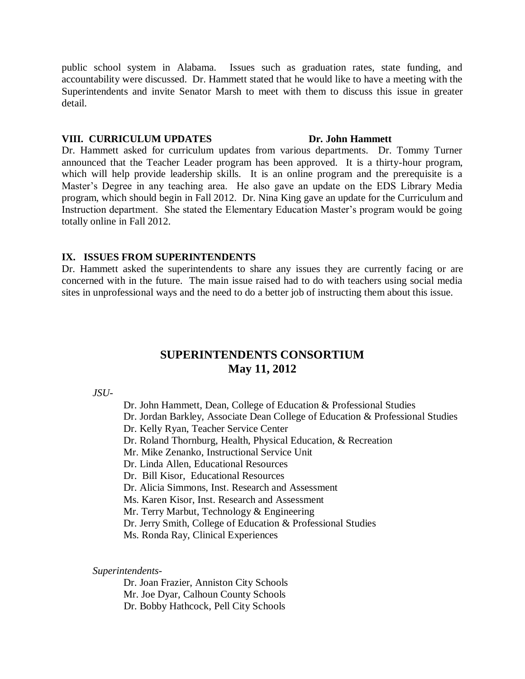public school system in Alabama. Issues such as graduation rates, state funding, and accountability were discussed. Dr. Hammett stated that he would like to have a meeting with the Superintendents and invite Senator Marsh to meet with them to discuss this issue in greater detail.

### **VIII. CURRICULUM UPDATES Dr. John Hammett**

Dr. Hammett asked for curriculum updates from various departments. Dr. Tommy Turner announced that the Teacher Leader program has been approved. It is a thirty-hour program, which will help provide leadership skills. It is an online program and the prerequisite is a Master's Degree in any teaching area. He also gave an update on the EDS Library Media program, which should begin in Fall 2012. Dr. Nina King gave an update for the Curriculum and Instruction department. She stated the Elementary Education Master's program would be going totally online in Fall 2012.

### **IX. ISSUES FROM SUPERINTENDENTS**

Dr. Hammett asked the superintendents to share any issues they are currently facing or are concerned with in the future. The main issue raised had to do with teachers using social media sites in unprofessional ways and the need to do a better job of instructing them about this issue.

### **SUPERINTENDENTS CONSORTIUM May 11, 2012**

*JSU-*

Dr. John Hammett, Dean, College of Education & Professional Studies Dr. Jordan Barkley, Associate Dean College of Education & Professional Studies Dr. Kelly Ryan, Teacher Service Center Dr. Roland Thornburg, Health, Physical Education, & Recreation Mr. Mike Zenanko, Instructional Service Unit Dr. Linda Allen, Educational Resources Dr. Bill Kisor, Educational Resources Dr. Alicia Simmons, Inst. Research and Assessment Ms. Karen Kisor, Inst. Research and Assessment Mr. Terry Marbut, Technology & Engineering Dr. Jerry Smith, College of Education & Professional Studies Ms. Ronda Ray, Clinical Experiences

### *Superintendents-*

Dr. Joan Frazier, Anniston City Schools Mr. Joe Dyar, Calhoun County Schools Dr. Bobby Hathcock, Pell City Schools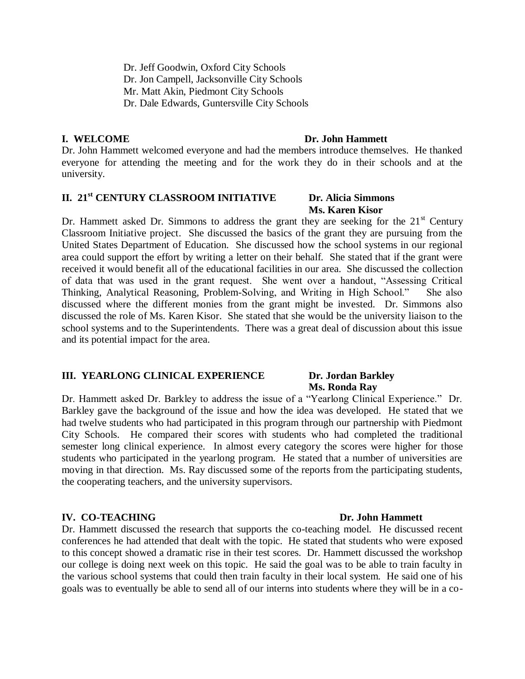Dr. Jeff Goodwin, Oxford City Schools Dr. Jon Campell, Jacksonville City Schools Mr. Matt Akin, Piedmont City Schools Dr. Dale Edwards, Guntersville City Schools

### **I. WELCOME Dr. John Hammett**

Dr. John Hammett welcomed everyone and had the members introduce themselves. He thanked everyone for attending the meeting and for the work they do in their schools and at the university.

### **II. 21st CENTURY CLASSROOM INITIATIVE Dr. Alicia Simmons**

## **Ms. Karen Kisor**

Dr. Hammett asked Dr. Simmons to address the grant they are seeking for the  $21<sup>st</sup>$  Century Classroom Initiative project. She discussed the basics of the grant they are pursuing from the United States Department of Education. She discussed how the school systems in our regional area could support the effort by writing a letter on their behalf. She stated that if the grant were received it would benefit all of the educational facilities in our area. She discussed the collection of data that was used in the grant request. She went over a handout, "Assessing Critical Thinking, Analytical Reasoning, Problem-Solving, and Writing in High School." She also discussed where the different monies from the grant might be invested. Dr. Simmons also discussed the role of Ms. Karen Kisor. She stated that she would be the university liaison to the school systems and to the Superintendents. There was a great deal of discussion about this issue and its potential impact for the area.

### **III. YEARLONG CLINICAL EXPERIENCE Dr. Jordan Barkley**

## **Ms. Ronda Ray**

Dr. Hammett asked Dr. Barkley to address the issue of a "Yearlong Clinical Experience." Dr. Barkley gave the background of the issue and how the idea was developed. He stated that we had twelve students who had participated in this program through our partnership with Piedmont City Schools. He compared their scores with students who had completed the traditional semester long clinical experience. In almost every category the scores were higher for those students who participated in the yearlong program. He stated that a number of universities are moving in that direction. Ms. Ray discussed some of the reports from the participating students, the cooperating teachers, and the university supervisors.

### **IV. CO-TEACHING Dr. John Hammett**

Dr. Hammett discussed the research that supports the co-teaching model. He discussed recent conferences he had attended that dealt with the topic. He stated that students who were exposed to this concept showed a dramatic rise in their test scores. Dr. Hammett discussed the workshop our college is doing next week on this topic. He said the goal was to be able to train faculty in the various school systems that could then train faculty in their local system. He said one of his goals was to eventually be able to send all of our interns into students where they will be in a co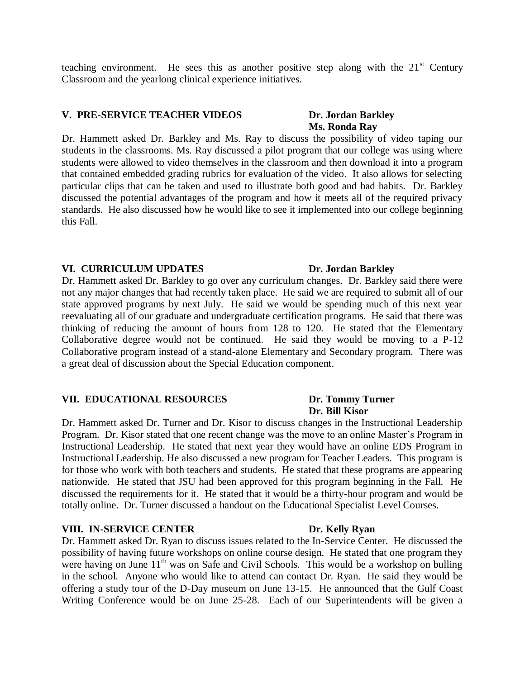teaching environment. He sees this as another positive step along with the  $21<sup>st</sup>$  Century Classroom and the yearlong clinical experience initiatives.

### **V. PRE-SERVICE TEACHER VIDEOS Dr. Jordan Barkley**

# **Ms. Ronda Ray**

Dr. Hammett asked Dr. Barkley and Ms. Ray to discuss the possibility of video taping our students in the classrooms. Ms. Ray discussed a pilot program that our college was using where students were allowed to video themselves in the classroom and then download it into a program that contained embedded grading rubrics for evaluation of the video. It also allows for selecting particular clips that can be taken and used to illustrate both good and bad habits. Dr. Barkley discussed the potential advantages of the program and how it meets all of the required privacy standards. He also discussed how he would like to see it implemented into our college beginning this Fall.

### **VI. CURRICULUM UPDATES Dr. Jordan Barkley**

Dr. Hammett asked Dr. Barkley to go over any curriculum changes. Dr. Barkley said there were not any major changes that had recently taken place. He said we are required to submit all of our state approved programs by next July. He said we would be spending much of this next year reevaluating all of our graduate and undergraduate certification programs. He said that there was thinking of reducing the amount of hours from 128 to 120. He stated that the Elementary Collaborative degree would not be continued. He said they would be moving to a P-12 Collaborative program instead of a stand-alone Elementary and Secondary program. There was a great deal of discussion about the Special Education component.

### **VII. EDUCATIONAL RESOURCES Dr. Tommy Turner**

Dr. Hammett asked Dr. Turner and Dr. Kisor to discuss changes in the Instructional Leadership Program. Dr. Kisor stated that one recent change was the move to an online Master's Program in Instructional Leadership. He stated that next year they would have an online EDS Program in Instructional Leadership. He also discussed a new program for Teacher Leaders. This program is for those who work with both teachers and students. He stated that these programs are appearing nationwide. He stated that JSU had been approved for this program beginning in the Fall. He discussed the requirements for it. He stated that it would be a thirty-hour program and would be totally online. Dr. Turner discussed a handout on the Educational Specialist Level Courses.

### **VIII. IN-SERVICE CENTER Dr. Kelly Ryan**

Dr. Hammett asked Dr. Ryan to discuss issues related to the In-Service Center. He discussed the possibility of having future workshops on online course design. He stated that one program they were having on June  $11<sup>th</sup>$  was on Safe and Civil Schools. This would be a workshop on bulling in the school. Anyone who would like to attend can contact Dr. Ryan. He said they would be offering a study tour of the D-Day museum on June 13-15. He announced that the Gulf Coast Writing Conference would be on June 25-28. Each of our Superintendents will be given a

# **Dr. Bill Kisor**